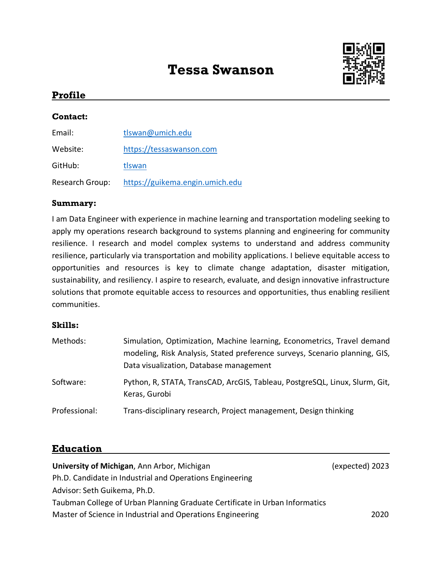# **Tessa Swanson**



### **Profile**

#### **Contact:**

| Email:          | tlswan@umich.edu                |
|-----------------|---------------------------------|
| Website:        | https://tessaswanson.com        |
| GitHub:         | tlswan                          |
| Research Group: | https://guikema.engin.umich.edu |

#### **Summary:**

I am Data Engineer with experience in machine learning and transportation modeling seeking to apply my operations research background to systems planning and engineering for community resilience. I research and model complex systems to understand and address community resilience, particularly via transportation and mobility applications. I believe equitable access to opportunities and resources is key to climate change adaptation, disaster mitigation, sustainability, and resiliency. I aspire to research, evaluate, and design innovative infrastructure solutions that promote equitable access to resources and opportunities, thus enabling resilient communities.

#### **Skills:**

| Methods:      | Simulation, Optimization, Machine learning, Econometrics, Travel demand<br>modeling, Risk Analysis, Stated preference surveys, Scenario planning, GIS,<br>Data visualization, Database management |
|---------------|---------------------------------------------------------------------------------------------------------------------------------------------------------------------------------------------------|
| Software:     | Python, R, STATA, TransCAD, ArcGIS, Tableau, PostgreSQL, Linux, Slurm, Git,<br>Keras, Gurobi                                                                                                      |
| Professional: | Trans-disciplinary research, Project management, Design thinking                                                                                                                                  |

#### **Education**

| University of Michigan, Ann Arbor, Michigan                                 | (expected) 2023 |
|-----------------------------------------------------------------------------|-----------------|
| Ph.D. Candidate in Industrial and Operations Engineering                    |                 |
| Advisor: Seth Guikema, Ph.D.                                                |                 |
| Taubman College of Urban Planning Graduate Certificate in Urban Informatics |                 |
| Master of Science in Industrial and Operations Engineering                  | 2020            |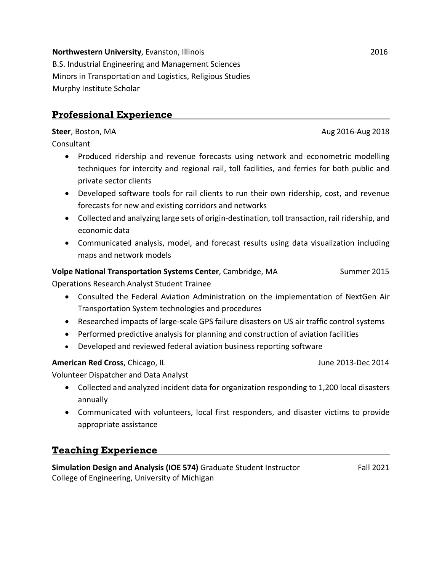## **Professional Experience**

**Steer**, Boston, MA **Aug 2016-Aug 2018** 

Consultant

- Produced ridership and revenue forecasts using network and econometric modelling techniques for intercity and regional rail, toll facilities, and ferries for both public and private sector clients
- Developed software tools for rail clients to run their own ridership, cost, and revenue forecasts for new and existing corridors and networks
- Collected and analyzing large sets of origin-destination, toll transaction, rail ridership, and economic data
- Communicated analysis, model, and forecast results using data visualization including maps and network models

#### **Volpe National Transportation Systems Center**, Cambridge, MA Summer 2015

Operations Research Analyst Student Trainee

- Consulted the Federal Aviation Administration on the implementation of NextGen Air Transportation System technologies and procedures
- Researched impacts of large-scale GPS failure disasters on US air traffic control systems
- Performed predictive analysis for planning and construction of aviation facilities
- Developed and reviewed federal aviation business reporting software

#### **American Red Cross**, Chicago, IL **Chicago, IL** American Bushell Bushell Bushell Bushell Bushell Bushell Bushell Bushell Bushell Bushell Bushell Bushell Bushell Bushell Bushell Bushell Bushell Bushell Bushell Bushell Bushe

Volunteer Dispatcher and Data Analyst

- Collected and analyzed incident data for organization responding to 1,200 local disasters annually
- Communicated with volunteers, local first responders, and disaster victims to provide appropriate assistance

## **Teaching Experience**

**Simulation Design and Analysis (IOE 574)** Graduate Student Instructor Fall 2021 College of Engineering, University of Michigan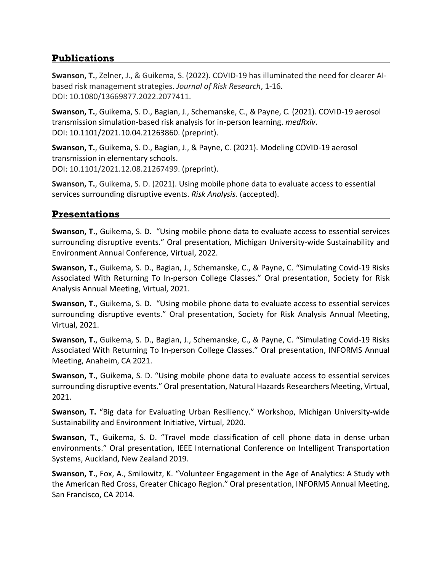## **Publications**

**Swanson, T.**, Zelner, J., & Guikema, S. (2022). COVID-19 has illuminated the need for clearer AIbased risk management strategies. *Journal of Risk Research*, 1-16. DOI: 10.1080/13669877.2022.2077411.

**Swanson, T.**, Guikema, S. D., Bagian, J., Schemanske, C., & Payne, C. (2021). COVID-19 aerosol transmission simulation-based risk analysis for in-person learning. *medRxiv*. DOI: 10.1101/2021.10.04.21263860. (preprint).

**Swanson, T.**, Guikema, S. D., Bagian, J., & Payne, C. (2021). Modeling COVID-19 aerosol transmission in elementary schools. DOI: 10.1101/2021.12.08.21267499. (preprint).

**Swanson, T.**, Guikema, S. D. (2021). Using mobile phone data to evaluate access to essential services surrounding disruptive events. *Risk Analysis.* (accepted).

## **Presentations**

**Swanson, T.**, Guikema, S. D. "Using mobile phone data to evaluate access to essential services surrounding disruptive events." Oral presentation, Michigan University-wide Sustainability and Environment Annual Conference, Virtual, 2022.

**Swanson, T.**, Guikema, S. D., Bagian, J., Schemanske, C., & Payne, C. "Simulating Covid-19 Risks Associated With Returning To In-person College Classes." Oral presentation, Society for Risk Analysis Annual Meeting, Virtual, 2021.

**Swanson, T.**, Guikema, S. D. "Using mobile phone data to evaluate access to essential services surrounding disruptive events." Oral presentation, Society for Risk Analysis Annual Meeting, Virtual, 2021.

**Swanson, T.**, Guikema, S. D., Bagian, J., Schemanske, C., & Payne, C. "Simulating Covid-19 Risks Associated With Returning To In-person College Classes." Oral presentation, INFORMS Annual Meeting, Anaheim, CA 2021.

**Swanson, T.**, Guikema, S. D. "Using mobile phone data to evaluate access to essential services surrounding disruptive events." Oral presentation, Natural Hazards Researchers Meeting, Virtual, 2021.

**Swanson, T.** "Big data for Evaluating Urban Resiliency." Workshop, Michigan University-wide Sustainability and Environment Initiative, Virtual, 2020.

**Swanson, T.**, Guikema, S. D. "Travel mode classification of cell phone data in dense urban environments." Oral presentation, IEEE International Conference on Intelligent Transportation Systems, Auckland, New Zealand 2019.

**Swanson, T.**, Fox, A., Smilowitz, K. "Volunteer Engagement in the Age of Analytics: A Study wth the American Red Cross, Greater Chicago Region." Oral presentation, INFORMS Annual Meeting, San Francisco, CA 2014.